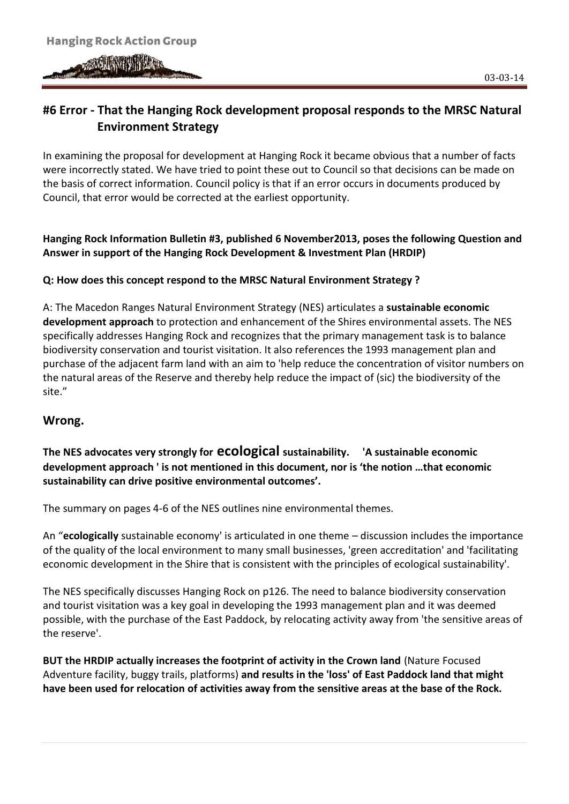# **#6 Error - That the Hanging Rock development proposal responds to the MRSC Natural Environment Strategy**

In examining the proposal for development at Hanging Rock it became obvious that a number of facts were incorrectly stated. We have tried to point these out to Council so that decisions can be made on the basis of correct information. Council policy is that if an error occurs in documents produced by Council, that error would be corrected at the earliest opportunity.

## **Hanging Rock Information Bulletin #3, published 6 November2013, poses the following Question and Answer in support of the Hanging Rock Development & Investment Plan (HRDIP)**

## **Q: How does this concept respond to the MRSC Natural Environment Strategy ?**

A: The Macedon Ranges Natural Environment Strategy (NES) articulates a **sustainable economic development approach** to protection and enhancement of the Shires environmental assets. The NES specifically addresses Hanging Rock and recognizes that the primary management task is to balance biodiversity conservation and tourist visitation. It also references the 1993 management plan and purchase of the adjacent farm land with an aim to 'help reduce the concentration of visitor numbers on the natural areas of the Reserve and thereby help reduce the impact of (sic) the biodiversity of the site."

# **Wrong.**

**The NES advocates very strongly for ecological sustainability. 'A sustainable economic development approach ' is not mentioned in this document, nor is 'the notion …that economic sustainability can drive positive environmental outcomes'.**

The summary on pages 4-6 of the NES outlines nine environmental themes.

An "**ecologically** sustainable economy' is articulated in one theme – discussion includes the importance of the quality of the local environment to many small businesses, 'green accreditation' and 'facilitating economic development in the Shire that is consistent with the principles of ecological sustainability'.

The NES specifically discusses Hanging Rock on p126. The need to balance biodiversity conservation and tourist visitation was a key goal in developing the 1993 management plan and it was deemed possible, with the purchase of the East Paddock, by relocating activity away from 'the sensitive areas of the reserve'.

**BUT the HRDIP actually increases the footprint of activity in the Crown land** (Nature Focused Adventure facility, buggy trails, platforms) **and results in the 'loss' of East Paddock land that might have been used for relocation of activities away from the sensitive areas at the base of the Rock.**